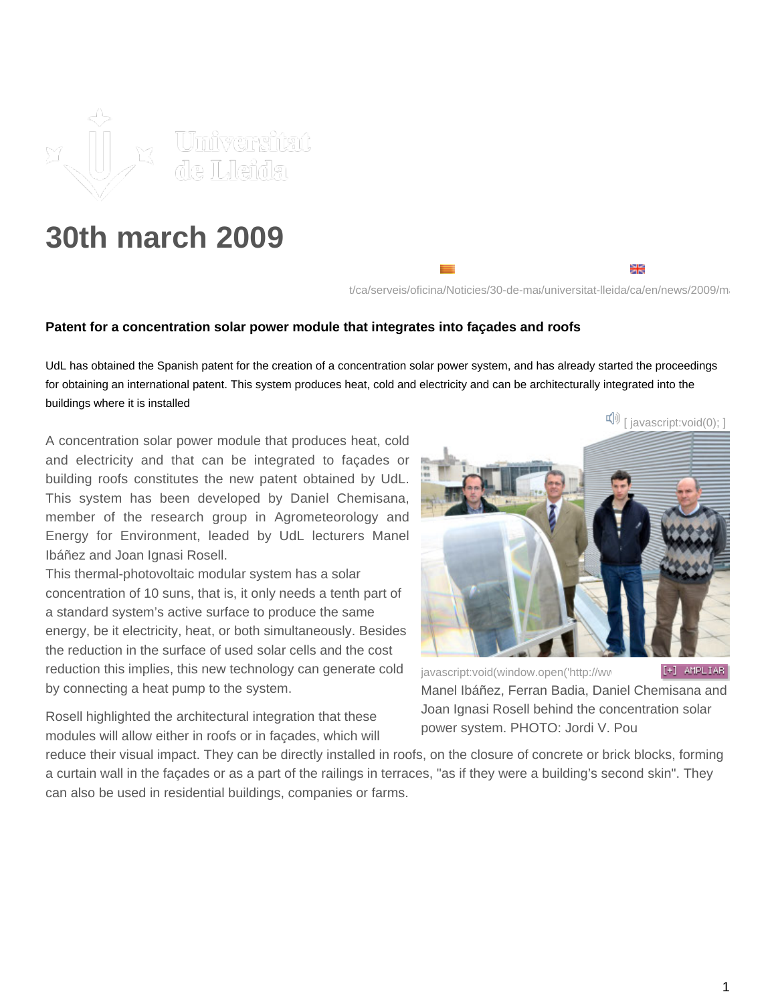

## **30th march 2009**

t/ca/serveis/oficina/Noticies/30-de-ma;/universitat-lleida/ca/en/news/2009/mar

## **Patent for a concentration solar power module that integrates into façades and roofs**

UdL has obtained the Spanish patent for the creation of a concentration solar power system, and has already started the proceedings for obtaining an international patent. This system produces heat, cold and electricity and can be architecturally integrated into the buildings where it is installed

A concentration solar power module that produces heat, cold and electricity and that can be integrated to façades or building roofs constitutes the new patent obtained by UdL. This system has been developed by Daniel Chemisana, member of the research group in Agrometeorology and Energy for Environment, leaded by UdL lecturers Manel Ibáñez and Joan Ignasi Rosell.

This thermal-photovoltaic modular system has a solar concentration of 10 suns, that is, it only needs a tenth part of a standard system's active surface to produce the same energy, be it electricity, heat, or both simultaneously. Besides the reduction in the surface of used solar cells and the cost reduction this implies, this new technology can generate cold by connecting a heat pump to the system.

Rosell highlighted the architectural integration that these modules will allow either in roofs or in façades, which will

 $\mathbb{I}^{[n]}$  [ javascript:void(0);

₩

[javascript:void\(window.open\('http://ww](javascript:void(window.open() [+] AMPLIAR Manel Ibáñez, Ferran Badia, Daniel Chemisana and Joan Ignasi Rosell behind the concentration solar power system. PHOTO: Jordi V. Pou

reduce their visual impact. They can be directly installed in roofs, on the closure of concrete or brick blocks, forming a curtain wall in the façades or as a part of the railings in terraces, "as if they were a building's second skin". They can also be used in residential buildings, companies or farms.